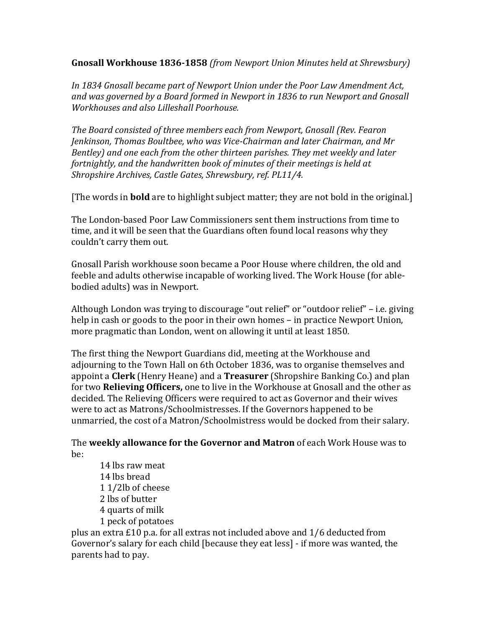**Gnosall Workhouse 1836-1858** *(from Newport Union Minutes held at Shrewsbury)*

*In 1834 Gnosall became part of Newport Union under the Poor Law Amendment Act, and was governed by a Board formed in Newport in 1836 to run Newport and Gnosall Workhouses and also Lilleshall Poorhouse.* 

*The Board consisted of three members each from Newport, Gnosall (Rev. Fearon Jenkinson, Thomas Boultbee, who was Vice-Chairman and later Chairman, and Mr Bentley) and one each from the other thirteen parishes. They met weekly and later fortnightly, and the handwritten book of minutes of their meetings is held at Shropshire Archives, Castle Gates, Shrewsbury, ref. PL11/4.*

[The words in **bold** are to highlight subject matter; they are not bold in the original.]

The London-based Poor Law Commissioners sent them instructions from time to time, and it will be seen that the Guardians often found local reasons why they couldn't carry them out.

Gnosall Parish workhouse soon became a Poor House where children, the old and feeble and adults otherwise incapable of working lived. The Work House (for ablebodied adults) was in Newport.

Although London was trying to discourage "out relief" or "outdoor relief" – i.e. giving help in cash or goods to the poor in their own homes – in practice Newport Union, more pragmatic than London, went on allowing it until at least 1850.

The first thing the Newport Guardians did, meeting at the Workhouse and adjourning to the Town Hall on 6th October 1836, was to organise themselves and appoint a **Clerk** (Henry Heane) and a **Treasurer** (Shropshire Banking Co.) and plan for two **Relieving Officers,** one to live in the Workhouse at Gnosall and the other as decided. The Relieving Officers were required to act as Governor and their wives were to act as Matrons/Schoolmistresses. If the Governors happened to be unmarried, the cost of a Matron/Schoolmistress would be docked from their salary.

The **weekly allowance for the Governor and Matron** of each Work House was to be:

14 lbs raw meat 14 lbs bread 1 1/2lb of cheese 2 lbs of butter 4 quarts of milk 1 peck of potatoes

plus an extra £10 p.a. for all extras not included above and 1/6 deducted from Governor's salary for each child [because they eat less] - if more was wanted, the parents had to pay.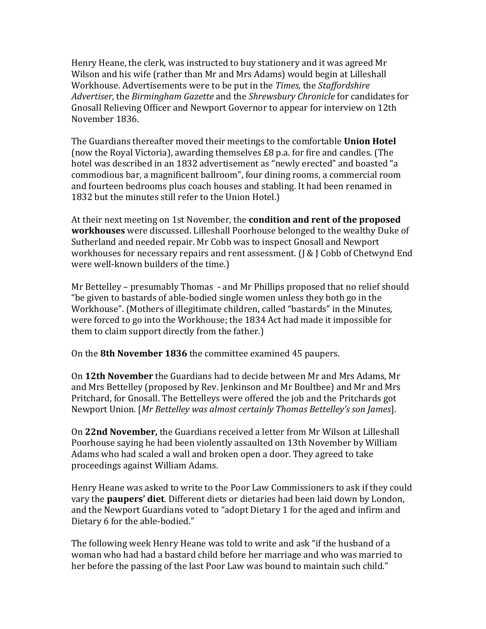Henry Heane, the clerk, was instructed to buy stationery and it was agreed Mr Wilson and his wife (rather than Mr and Mrs Adams) would begin at Lilleshall Workhouse. Advertisements were to be put in the *Times,* the *Staffordshire Advertiser,* the *Birmingham Gazette* and the *Shrewsbury Chronicle* for candidates for Gnosall Relieving Officer and Newport Governor to appear for interview on 12th November 1836.

The Guardians thereafter moved their meetings to the comfortable **Union Hotel** (now the Royal Victoria), awarding themselves £8 p.a. for fire and candles. (The hotel was described in an 1832 advertisement as "newly erected" and boasted "a commodious bar, a magnificent ballroom", four dining rooms, a commercial room and fourteen bedrooms plus coach houses and stabling. It had been renamed in 1832 but the minutes still refer to the Union Hotel.)

At their next meeting on 1st November, the **condition and rent of the proposed workhouses** were discussed. Lilleshall Poorhouse belonged to the wealthy Duke of Sutherland and needed repair. Mr Cobb was to inspect Gnosall and Newport workhouses for necessary repairs and rent assessment. (J & J Cobb of Chetwynd End were well-known builders of the time.)

Mr Bettelley – presumably Thomas - and Mr Phillips proposed that no relief should "be given to bastards of able-bodied single women unless they both go in the Workhouse". (Mothers of illegitimate children, called "bastards" in the Minutes, were forced to go into the Workhouse; the 1834 Act had made it impossible for them to claim support directly from the father.)

On the **8th November 1836** the committee examined 45 paupers.

On **12th November** the Guardians had to decide between Mr and Mrs Adams, Mr and Mrs Bettelley (proposed by Rev. Jenkinson and Mr Boultbee) and Mr and Mrs Pritchard, for Gnosall. The Bettelleys were offered the job and the Pritchards got Newport Union. [*Mr Bettelley was almost certainly Thomas Bettelley's son James*].

On **22nd November,** the Guardians received a letter from Mr Wilson at Lilleshall Poorhouse saying he had been violently assaulted on 13th November by William Adams who had scaled a wall and broken open a door. They agreed to take proceedings against William Adams.

Henry Heane was asked to write to the Poor Law Commissioners to ask if they could vary the **paupers' diet**. Different diets or dietaries had been laid down by London, and the Newport Guardians voted to "adopt Dietary 1 for the aged and infirm and Dietary 6 for the able-bodied."

The following week Henry Heane was told to write and ask "if the husband of a woman who had had a bastard child before her marriage and who was married to her before the passing of the last Poor Law was bound to maintain such child."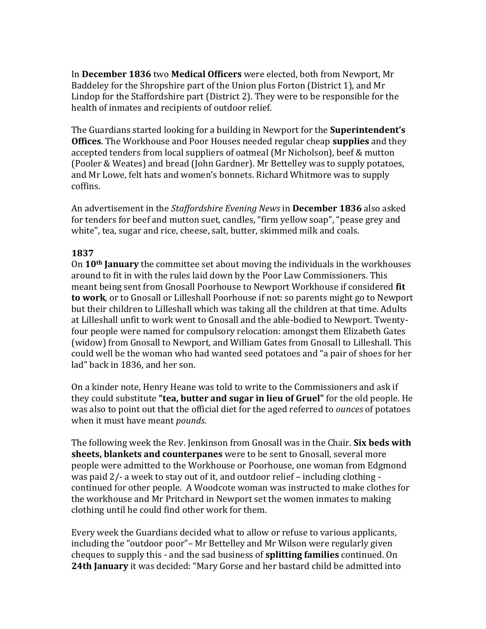In **December 1836** two **Medical Officers** were elected, both from Newport, Mr Baddeley for the Shropshire part of the Union plus Forton (District 1), and Mr Lindop for the Staffordshire part (District 2). They were to be responsible for the health of inmates and recipients of outdoor relief.

The Guardians started looking for a building in Newport for the **Superintendent's Offices**. The Workhouse and Poor Houses needed regular cheap **supplies** and they accepted tenders from local suppliers of oatmeal (Mr Nicholson), beef & mutton (Pooler & Weates) and bread (John Gardner). Mr Bettelley was to supply potatoes, and Mr Lowe, felt hats and women's bonnets. Richard Whitmore was to supply coffins.

An advertisement in the *Staffordshire Evening News* in **December 1836** also asked for tenders for beef and mutton suet, candles, "firm yellow soap", "pease grey and white", tea, sugar and rice, cheese, salt, butter, skimmed milk and coals.

### **1837**

On **10th January** the committee set about moving the individuals in the workhouses around to fit in with the rules laid down by the Poor Law Commissioners. This meant being sent from Gnosall Poorhouse to Newport Workhouse if considered **fit to work**, or to Gnosall or Lilleshall Poorhouse if not: so parents might go to Newport but their children to Lilleshall which was taking all the children at that time. Adults at Lilleshall unfit to work went to Gnosall and the able-bodied to Newport. Twentyfour people were named for compulsory relocation: amongst them Elizabeth Gates (widow) from Gnosall to Newport, and William Gates from Gnosall to Lilleshall. This could well be the woman who had wanted seed potatoes and "a pair of shoes for her lad" back in 1836, and her son.

On a kinder note, Henry Heane was told to write to the Commissioners and ask if they could substitute **"tea, butter and sugar in lieu of Gruel"** for the old people. He was also to point out that the official diet for the aged referred to *ounces* of potatoes when it must have meant *pounds.*

The following week the Rev. Jenkinson from Gnosall was in the Chair. **Six beds with sheets, blankets and counterpanes** were to be sent to Gnosall, several more people were admitted to the Workhouse or Poorhouse, one woman from Edgmond was paid 2/- a week to stay out of it, and outdoor relief – including clothing continued for other people. A Woodcote woman was instructed to make clothes for the workhouse and Mr Pritchard in Newport set the women inmates to making clothing until he could find other work for them.

Every week the Guardians decided what to allow or refuse to various applicants, including the "outdoor poor"– Mr Bettelley and Mr Wilson were regularly given cheques to supply this - and the sad business of **splitting families** continued. On **24th January** it was decided: "Mary Gorse and her bastard child be admitted into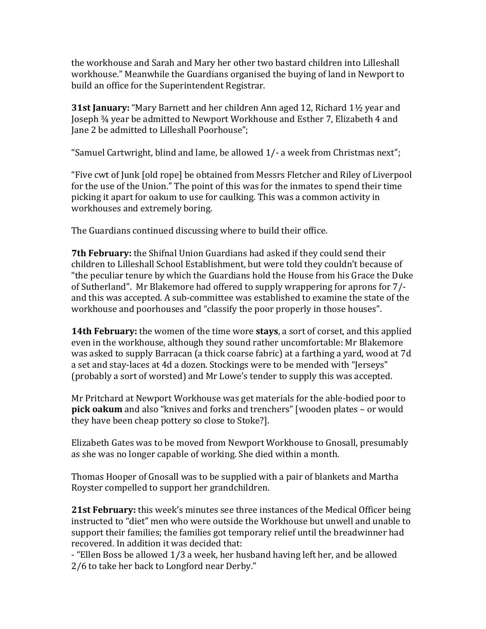the workhouse and Sarah and Mary her other two bastard children into Lilleshall workhouse." Meanwhile the Guardians organised the buying of land in Newport to build an office for the Superintendent Registrar.

**31st January:** "Mary Barnett and her children Ann aged 12, Richard 1½ year and Joseph ¾ year be admitted to Newport Workhouse and Esther 7, Elizabeth 4 and Jane 2 be admitted to Lilleshall Poorhouse";

"Samuel Cartwright, blind and lame, be allowed 1/- a week from Christmas next";

"Five cwt of Junk [old rope] be obtained from Messrs Fletcher and Riley of Liverpool for the use of the Union." The point of this was for the inmates to spend their time picking it apart for oakum to use for caulking. This was a common activity in workhouses and extremely boring.

The Guardians continued discussing where to build their office.

**7th February:** the Shifnal Union Guardians had asked if they could send their children to Lilleshall School Establishment, but were told they couldn't because of "the peculiar tenure by which the Guardians hold the House from his Grace the Duke of Sutherland". Mr Blakemore had offered to supply wrappering for aprons for 7/ and this was accepted. A sub-committee was established to examine the state of the workhouse and poorhouses and "classify the poor properly in those houses".

**14th February:** the women of the time wore **stays**, a sort of corset, and this applied even in the workhouse, although they sound rather uncomfortable: Mr Blakemore was asked to supply Barracan (a thick coarse fabric) at a farthing a yard, wood at 7d a set and stay-laces at 4d a dozen. Stockings were to be mended with "Jerseys" (probably a sort of worsted) and Mr Lowe's tender to supply this was accepted.

Mr Pritchard at Newport Workhouse was get materials for the able-bodied poor to **pick oakum** and also "knives and forks and trenchers" [wooden plates – or would they have been cheap pottery so close to Stoke?].

Elizabeth Gates was to be moved from Newport Workhouse to Gnosall, presumably as she was no longer capable of working. She died within a month.

Thomas Hooper of Gnosall was to be supplied with a pair of blankets and Martha Royster compelled to support her grandchildren.

**21st February:** this week's minutes see three instances of the Medical Officer being instructed to "diet" men who were outside the Workhouse but unwell and unable to support their families; the families got temporary relief until the breadwinner had recovered. In addition it was decided that:

- "Ellen Boss be allowed 1/3 a week, her husband having left her, and be allowed 2/6 to take her back to Longford near Derby."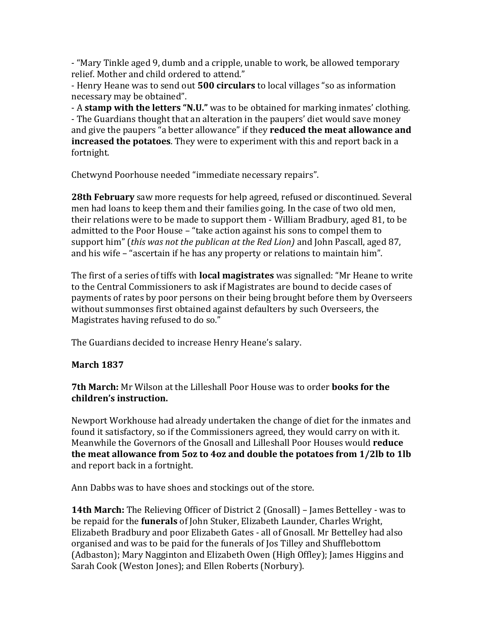- "Mary Tinkle aged 9, dumb and a cripple, unable to work, be allowed temporary relief. Mother and child ordered to attend."

- Henry Heane was to send out **500 circulars** to local villages "so as information necessary may be obtained".

- A **stamp with the letters "N.U."** was to be obtained for marking inmates' clothing. - The Guardians thought that an alteration in the paupers' diet would save money and give the paupers "a better allowance" if they **reduced the meat allowance and increased the potatoes**. They were to experiment with this and report back in a fortnight.

Chetwynd Poorhouse needed "immediate necessary repairs".

**28th February** saw more requests for help agreed, refused or discontinued. Several men had loans to keep them and their families going. In the case of two old men, their relations were to be made to support them - William Bradbury, aged 81, to be admitted to the Poor House – "take action against his sons to compel them to support him" (*this was not the publican at the Red Lion)* and John Pascall, aged 87, and his wife – "ascertain if he has any property or relations to maintain him".

The first of a series of tiffs with **local magistrates** was signalled: "Mr Heane to write to the Central Commissioners to ask if Magistrates are bound to decide cases of payments of rates by poor persons on their being brought before them by Overseers without summonses first obtained against defaulters by such Overseers, the Magistrates having refused to do so."

The Guardians decided to increase Henry Heane's salary.

### **March 1837**

**7th March:** Mr Wilson at the Lilleshall Poor House was to order **books for the children's instruction.**

Newport Workhouse had already undertaken the change of diet for the inmates and found it satisfactory, so if the Commissioners agreed, they would carry on with it. Meanwhile the Governors of the Gnosall and Lilleshall Poor Houses would **reduce the meat allowance from 5oz to 4oz and double the potatoes from 1/2lb to 1lb** and report back in a fortnight.

Ann Dabbs was to have shoes and stockings out of the store.

**14th March:** The Relieving Officer of District 2 (Gnosall) – James Bettelley - was to be repaid for the **funerals** of John Stuker, Elizabeth Launder, Charles Wright, Elizabeth Bradbury and poor Elizabeth Gates - all of Gnosall. Mr Bettelley had also organised and was to be paid for the funerals of Jos Tilley and Shufflebottom (Adbaston); Mary Nagginton and Elizabeth Owen (High Offley); James Higgins and Sarah Cook (Weston Jones); and Ellen Roberts (Norbury).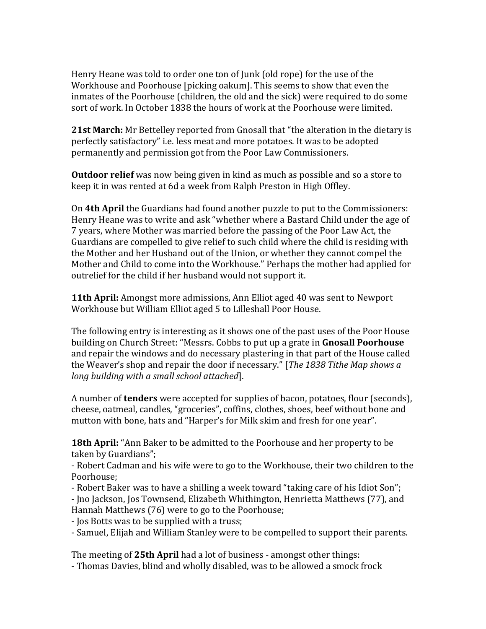Henry Heane was told to order one ton of Junk (old rope) for the use of the Workhouse and Poorhouse [picking oakum]. This seems to show that even the inmates of the Poorhouse (children, the old and the sick) were required to do some sort of work. In October 1838 the hours of work at the Poorhouse were limited.

**21st March:** Mr Bettelley reported from Gnosall that "the alteration in the dietary is perfectly satisfactory" i.e. less meat and more potatoes. It was to be adopted permanently and permission got from the Poor Law Commissioners.

**Outdoor relief** was now being given in kind as much as possible and so a store to keep it in was rented at 6d a week from Ralph Preston in High Offley.

On **4th April** the Guardians had found another puzzle to put to the Commissioners: Henry Heane was to write and ask "whether where a Bastard Child under the age of 7 years, where Mother was married before the passing of the Poor Law Act, the Guardians are compelled to give relief to such child where the child is residing with the Mother and her Husband out of the Union, or whether they cannot compel the Mother and Child to come into the Workhouse." Perhaps the mother had applied for outrelief for the child if her husband would not support it.

**11th April:** Amongst more admissions, Ann Elliot aged 40 was sent to Newport Workhouse but William Elliot aged 5 to Lilleshall Poor House.

The following entry is interesting as it shows one of the past uses of the Poor House building on Church Street: "Messrs. Cobbs to put up a grate in **Gnosall Poorhouse** and repair the windows and do necessary plastering in that part of the House called the Weaver's shop and repair the door if necessary." [*The 1838 Tithe Map shows a long building with a small school attached*].

A number of **tenders** were accepted for supplies of bacon, potatoes, flour (seconds), cheese, oatmeal, candles, "groceries", coffins, clothes, shoes, beef without bone and mutton with bone, hats and "Harper's for Milk skim and fresh for one year".

**18th April:** "Ann Baker to be admitted to the Poorhouse and her property to be taken by Guardians";

- Robert Cadman and his wife were to go to the Workhouse, their two children to the Poorhouse;

- Robert Baker was to have a shilling a week toward "taking care of his Idiot Son";

- Jno Jackson, Jos Townsend, Elizabeth Whithington, Henrietta Matthews (77), and Hannah Matthews (76) were to go to the Poorhouse;

- Jos Botts was to be supplied with a truss;

- Samuel, Elijah and William Stanley were to be compelled to support their parents.

The meeting of **25th April** had a lot of business - amongst other things: - Thomas Davies, blind and wholly disabled, was to be allowed a smock frock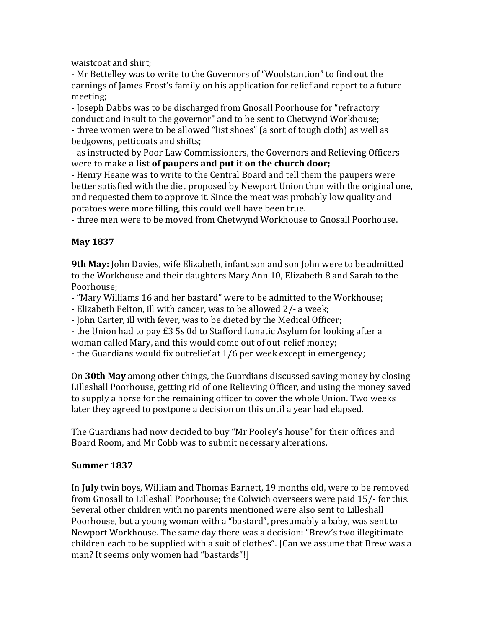waistcoat and shirt;

- Mr Bettelley was to write to the Governors of "Woolstantion" to find out the earnings of James Frost's family on his application for relief and report to a future meeting;

- Joseph Dabbs was to be discharged from Gnosall Poorhouse for "refractory conduct and insult to the governor" and to be sent to Chetwynd Workhouse; - three women were to be allowed "list shoes" (a sort of tough cloth) as well as bedgowns, petticoats and shifts;

- as instructed by Poor Law Commissioners, the Governors and Relieving Officers were to make **a list of paupers and put it on the church door;**

- Henry Heane was to write to the Central Board and tell them the paupers were better satisfied with the diet proposed by Newport Union than with the original one, and requested them to approve it. Since the meat was probably low quality and potatoes were more filling, this could well have been true.

- three men were to be moved from Chetwynd Workhouse to Gnosall Poorhouse.

# **May 1837**

**9th May:** John Davies, wife Elizabeth, infant son and son John were to be admitted to the Workhouse and their daughters Mary Ann 10, Elizabeth 8 and Sarah to the Poorhouse;

- "Mary Williams 16 and her bastard" were to be admitted to the Workhouse;

- Elizabeth Felton, ill with cancer, was to be allowed 2/- a week;

- John Carter, ill with fever, was to be dieted by the Medical Officer;

- the Union had to pay £3 5s 0d to Stafford Lunatic Asylum for looking after a woman called Mary, and this would come out of out-relief money;

- the Guardians would fix outrelief at 1/6 per week except in emergency;

On **30th May** among other things, the Guardians discussed saving money by closing Lilleshall Poorhouse, getting rid of one Relieving Officer, and using the money saved to supply a horse for the remaining officer to cover the whole Union. Two weeks later they agreed to postpone a decision on this until a year had elapsed.

The Guardians had now decided to buy "Mr Pooley's house" for their offices and Board Room, and Mr Cobb was to submit necessary alterations.

# **Summer 1837**

In **July** twin boys, William and Thomas Barnett, 19 months old, were to be removed from Gnosall to Lilleshall Poorhouse; the Colwich overseers were paid 15/- for this. Several other children with no parents mentioned were also sent to Lilleshall Poorhouse, but a young woman with a "bastard", presumably a baby, was sent to Newport Workhouse. The same day there was a decision: "Brew's two illegitimate children each to be supplied with a suit of clothes". [Can we assume that Brew was a man? It seems only women had "bastards"!]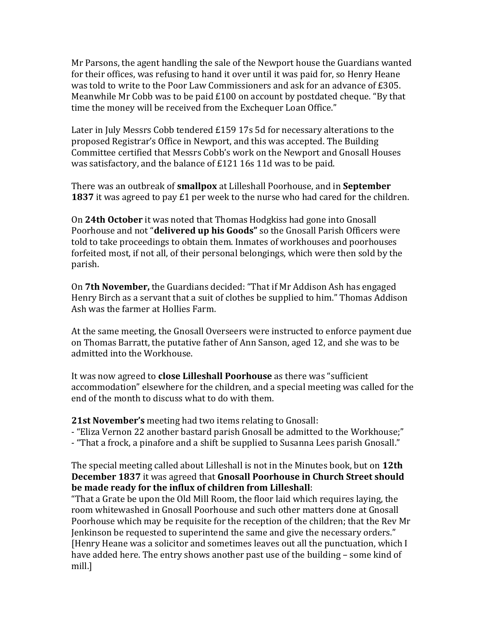Mr Parsons, the agent handling the sale of the Newport house the Guardians wanted for their offices, was refusing to hand it over until it was paid for, so Henry Heane was told to write to the Poor Law Commissioners and ask for an advance of £305. Meanwhile Mr Cobb was to be paid £100 on account by postdated cheque. "By that time the money will be received from the Exchequer Loan Office."

Later in July Messrs Cobb tendered £159 17s 5d for necessary alterations to the proposed Registrar's Office in Newport, and this was accepted. The Building Committee certified that Messrs Cobb's work on the Newport and Gnosall Houses was satisfactory, and the balance of £121 16s 11d was to be paid.

There was an outbreak of **smallpox** at Lilleshall Poorhouse, and in **September 1837** it was agreed to pay £1 per week to the nurse who had cared for the children.

On **24th October** it was noted that Thomas Hodgkiss had gone into Gnosall Poorhouse and not "**delivered up his Goods"** so the Gnosall Parish Officers were told to take proceedings to obtain them. Inmates of workhouses and poorhouses forfeited most, if not all, of their personal belongings, which were then sold by the parish.

On **7th November,** the Guardians decided: "That if Mr Addison Ash has engaged Henry Birch as a servant that a suit of clothes be supplied to him." Thomas Addison Ash was the farmer at Hollies Farm.

At the same meeting, the Gnosall Overseers were instructed to enforce payment due on Thomas Barratt, the putative father of Ann Sanson, aged 12, and she was to be admitted into the Workhouse.

It was now agreed to **close Lilleshall Poorhouse** as there was "sufficient accommodation" elsewhere for the children, and a special meeting was called for the end of the month to discuss what to do with them.

**21st November's** meeting had two items relating to Gnosall:

- "Eliza Vernon 22 another bastard parish Gnosall be admitted to the Workhouse;"

- "That a frock, a pinafore and a shift be supplied to Susanna Lees parish Gnosall."

### The special meeting called about Lilleshall is not in the Minutes book, but on **12th December 1837** it was agreed that **Gnosall Poorhouse in Church Street should be made ready for the influx of children from Lilleshall**:

"That a Grate be upon the Old Mill Room, the floor laid which requires laying, the room whitewashed in Gnosall Poorhouse and such other matters done at Gnosall Poorhouse which may be requisite for the reception of the children; that the Rev Mr Jenkinson be requested to superintend the same and give the necessary orders." [Henry Heane was a solicitor and sometimes leaves out all the punctuation, which I have added here. The entry shows another past use of the building – some kind of mill.]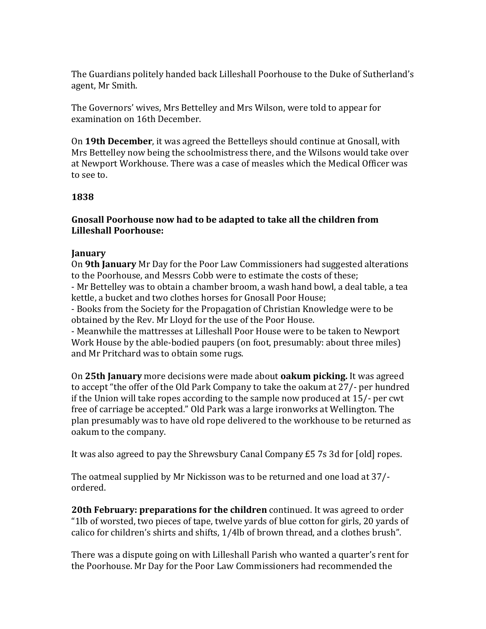The Guardians politely handed back Lilleshall Poorhouse to the Duke of Sutherland's agent, Mr Smith.

The Governors' wives, Mrs Bettelley and Mrs Wilson, were told to appear for examination on 16th December.

On **19th December**, it was agreed the Bettelleys should continue at Gnosall, with Mrs Bettelley now being the schoolmistress there, and the Wilsons would take over at Newport Workhouse. There was a case of measles which the Medical Officer was to see to.

### **1838**

### **Gnosall Poorhouse now had to be adapted to take all the children from Lilleshall Poorhouse:**

#### **January**

On **9th January** Mr Day for the Poor Law Commissioners had suggested alterations to the Poorhouse, and Messrs Cobb were to estimate the costs of these; - Mr Bettelley was to obtain a chamber broom, a wash hand bowl, a deal table, a tea

kettle, a bucket and two clothes horses for Gnosall Poor House;

- Books from the Society for the Propagation of Christian Knowledge were to be obtained by the Rev. Mr Lloyd for the use of the Poor House.

- Meanwhile the mattresses at Lilleshall Poor House were to be taken to Newport Work House by the able-bodied paupers (on foot, presumably: about three miles) and Mr Pritchard was to obtain some rugs.

On **25th January** more decisions were made about **oakum picking.** It was agreed to accept "the offer of the Old Park Company to take the oakum at 27/- per hundred if the Union will take ropes according to the sample now produced at 15/- per cwt free of carriage be accepted." Old Park was a large ironworks at Wellington. The plan presumably was to have old rope delivered to the workhouse to be returned as oakum to the company.

It was also agreed to pay the Shrewsbury Canal Company £5 7s 3d for [old] ropes.

The oatmeal supplied by Mr Nickisson was to be returned and one load at 37/ ordered.

**20th February: preparations for the children** continued. It was agreed to order "1lb of worsted, two pieces of tape, twelve yards of blue cotton for girls, 20 yards of calico for children's shirts and shifts, 1/4lb of brown thread, and a clothes brush".

There was a dispute going on with Lilleshall Parish who wanted a quarter's rent for the Poorhouse. Mr Day for the Poor Law Commissioners had recommended the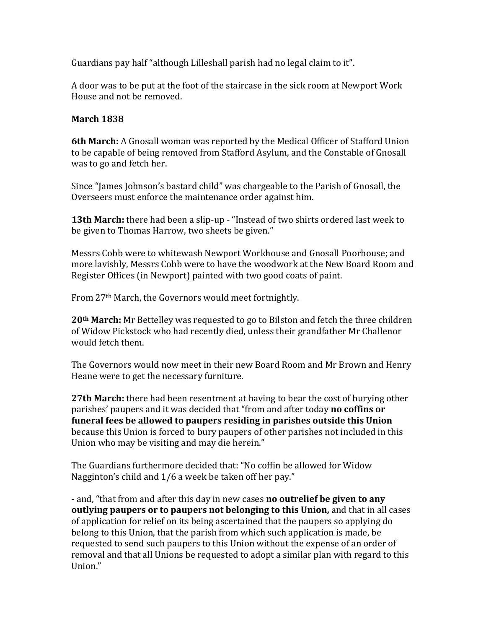Guardians pay half "although Lilleshall parish had no legal claim to it".

A door was to be put at the foot of the staircase in the sick room at Newport Work House and not be removed.

### **March 1838**

**6th March:** A Gnosall woman was reported by the Medical Officer of Stafford Union to be capable of being removed from Stafford Asylum, and the Constable of Gnosall was to go and fetch her.

Since "James Johnson's bastard child" was chargeable to the Parish of Gnosall, the Overseers must enforce the maintenance order against him.

**13th March:** there had been a slip-up - "Instead of two shirts ordered last week to be given to Thomas Harrow, two sheets be given."

Messrs Cobb were to whitewash Newport Workhouse and Gnosall Poorhouse; and more lavishly, Messrs Cobb were to have the woodwork at the New Board Room and Register Offices (in Newport) painted with two good coats of paint.

From 27th March, the Governors would meet fortnightly.

**20th March:** Mr Bettelley was requested to go to Bilston and fetch the three children of Widow Pickstock who had recently died, unless their grandfather Mr Challenor would fetch them.

The Governors would now meet in their new Board Room and Mr Brown and Henry Heane were to get the necessary furniture.

**27th March:** there had been resentment at having to bear the cost of burying other parishes' paupers and it was decided that "from and after today **no coffins or funeral fees be allowed to paupers residing in parishes outside this Union** because this Union is forced to bury paupers of other parishes not included in this Union who may be visiting and may die herein."

The Guardians furthermore decided that: "No coffin be allowed for Widow Nagginton's child and 1/6 a week be taken off her pay."

- and, "that from and after this day in new cases **no outrelief be given to any outlying paupers or to paupers not belonging to this Union,** and that in all cases of application for relief on its being ascertained that the paupers so applying do belong to this Union, that the parish from which such application is made, be requested to send such paupers to this Union without the expense of an order of removal and that all Unions be requested to adopt a similar plan with regard to this Union."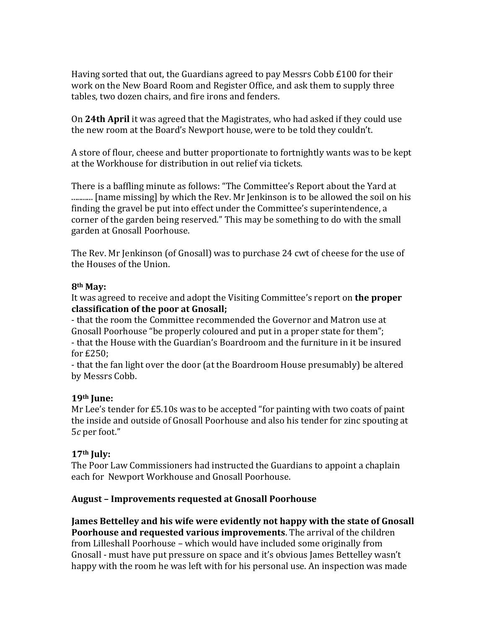Having sorted that out, the Guardians agreed to pay Messrs Cobb £100 for their work on the New Board Room and Register Office, and ask them to supply three tables, two dozen chairs, and fire irons and fenders.

On **24th April** it was agreed that the Magistrates, who had asked if they could use the new room at the Board's Newport house, were to be told they couldn't.

A store of flour, cheese and butter proportionate to fortnightly wants was to be kept at the Workhouse for distribution in out relief via tickets.

There is a baffling minute as follows: "The Committee's Report about the Yard at ........... [name missing] by which the Rev. Mr Jenkinson is to be allowed the soil on his finding the gravel be put into effect under the Committee's superintendence, a corner of the garden being reserved." This may be something to do with the small garden at Gnosall Poorhouse.

The Rev. Mr Jenkinson (of Gnosall) was to purchase 24 cwt of cheese for the use of the Houses of the Union.

### **8th May:**

It was agreed to receive and adopt the Visiting Committee's report on **the proper classification of the poor at Gnosall;**

- that the room the Committee recommended the Governor and Matron use at Gnosall Poorhouse "be properly coloured and put in a proper state for them"; - that the House with the Guardian's Boardroom and the furniture in it be insured for £250;

- that the fan light over the door (at the Boardroom House presumably) be altered by Messrs Cobb.

# **19th June:**

Mr Lee's tender for £5.10s was to be accepted "for painting with two coats of paint the inside and outside of Gnosall Poorhouse and also his tender for zinc spouting at 5*c* per foot."

# **17th July:**

The Poor Law Commissioners had instructed the Guardians to appoint a chaplain each for Newport Workhouse and Gnosall Poorhouse.

# **August – Improvements requested at Gnosall Poorhouse**

**James Bettelley and his wife were evidently not happy with the state of Gnosall Poorhouse and requested various improvements**. The arrival of the children from Lilleshall Poorhouse – which would have included some originally from Gnosall - must have put pressure on space and it's obvious James Bettelley wasn't happy with the room he was left with for his personal use. An inspection was made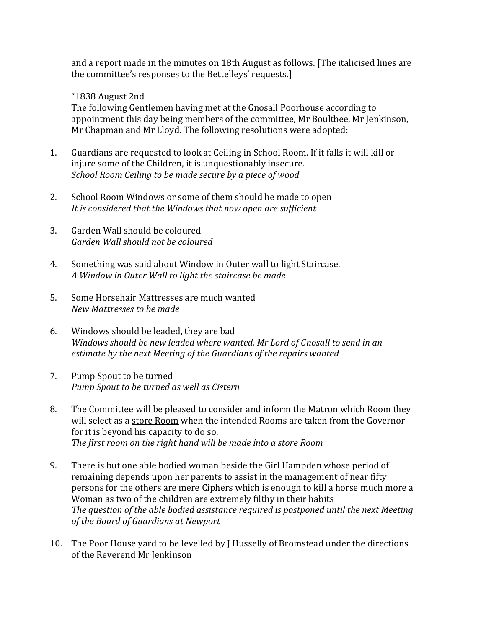and a report made in the minutes on 18th August as follows. [The italicised lines are the committee's responses to the Bettelleys' requests.]

### "1838 August 2nd

The following Gentlemen having met at the Gnosall Poorhouse according to appointment this day being members of the committee, Mr Boultbee, Mr Jenkinson, Mr Chapman and Mr Lloyd. The following resolutions were adopted:

- 1. Guardians are requested to look at Ceiling in School Room. If it falls it will kill or injure some of the Children, it is unquestionably insecure. *School Room Ceiling to be made secure by a piece of wood*
- 2. School Room Windows or some of them should be made to open *It is considered that the Windows that now open are sufficient*
- 3. Garden Wall should be coloured *Garden Wall should not be coloured*
- 4. Something was said about Window in Outer wall to light Staircase. *A Window in Outer Wall to light the staircase be made*
- 5. Some Horsehair Mattresses are much wanted *New Mattresses to be made*
- 6. Windows should be leaded, they are bad *Windows should be new leaded where wanted. Mr Lord of Gnosall to send in an estimate by the next Meeting of the Guardians of the repairs wanted*
- 7. Pump Spout to be turned *Pump Spout to be turned as well as Cistern*
- 8. The Committee will be pleased to consider and inform the Matron which Room they will select as a store Room when the intended Rooms are taken from the Governor for it is beyond his capacity to do so. *The first room on the right hand will be made into a store Room*
- 9. There is but one able bodied woman beside the Girl Hampden whose period of remaining depends upon her parents to assist in the management of near fifty persons for the others are mere Ciphers which is enough to kill a horse much more a Woman as two of the children are extremely filthy in their habits *The question of the able bodied assistance required is postponed until the next Meeting of the Board of Guardians at Newport*
- 10. The Poor House yard to be levelled by J Husselly of Bromstead under the directions of the Reverend Mr Jenkinson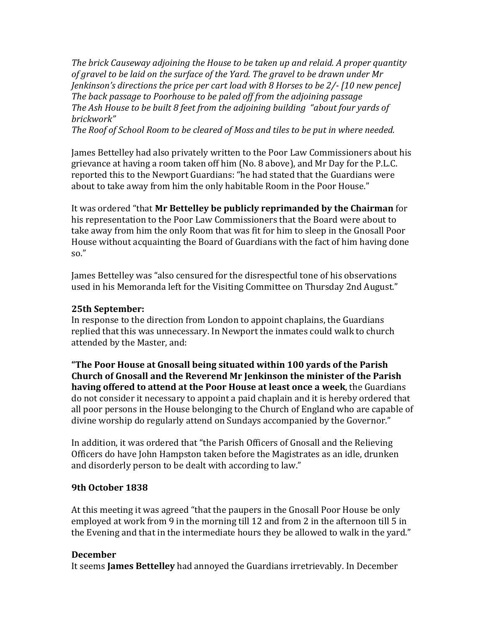*The brick Causeway adjoining the House to be taken up and relaid. A proper quantity of gravel to be laid on the surface of the Yard. The gravel to be drawn under Mr Jenkinson's directions the price per cart load with 8 Horses to be 2/- [10 new pence] The back passage to Poorhouse to be paled off from the adjoining passage The Ash House to be built 8 feet from the adjoining building "about four yards of brickwork"*

*The Roof of School Room to be cleared of Moss and tiles to be put in where needed.*

James Bettelley had also privately written to the Poor Law Commissioners about his grievance at having a room taken off him (No. 8 above), and Mr Day for the P.L.C. reported this to the Newport Guardians: "he had stated that the Guardians were about to take away from him the only habitable Room in the Poor House."

It was ordered "that **Mr Bettelley be publicly reprimanded by the Chairman** for his representation to the Poor Law Commissioners that the Board were about to take away from him the only Room that was fit for him to sleep in the Gnosall Poor House without acquainting the Board of Guardians with the fact of him having done so."

James Bettelley was "also censured for the disrespectful tone of his observations used in his Memoranda left for the Visiting Committee on Thursday 2nd August."

#### **25th September:**

In response to the direction from London to appoint chaplains, the Guardians replied that this was unnecessary. In Newport the inmates could walk to church attended by the Master, and:

**"The Poor House at Gnosall being situated within 100 yards of the Parish Church of Gnosall and the Reverend Mr Jenkinson the minister of the Parish having offered to attend at the Poor House at least once a week**, the Guardians do not consider it necessary to appoint a paid chaplain and it is hereby ordered that all poor persons in the House belonging to the Church of England who are capable of divine worship do regularly attend on Sundays accompanied by the Governor."

In addition, it was ordered that "the Parish Officers of Gnosall and the Relieving Officers do have John Hampston taken before the Magistrates as an idle, drunken and disorderly person to be dealt with according to law."

#### **9th October 1838**

At this meeting it was agreed "that the paupers in the Gnosall Poor House be only employed at work from 9 in the morning till 12 and from 2 in the afternoon till 5 in the Evening and that in the intermediate hours they be allowed to walk in the yard."

#### **December**

It seems **James Bettelley** had annoyed the Guardians irretrievably. In December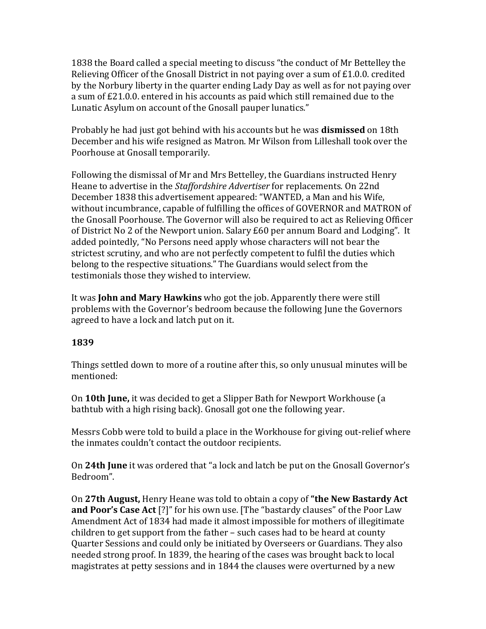1838 the Board called a special meeting to discuss "the conduct of Mr Bettelley the Relieving Officer of the Gnosall District in not paying over a sum of £1.0.0. credited by the Norbury liberty in the quarter ending Lady Day as well as for not paying over a sum of £21.0.0. entered in his accounts as paid which still remained due to the Lunatic Asylum on account of the Gnosall pauper lunatics."

Probably he had just got behind with his accounts but he was **dismissed** on 18th December and his wife resigned as Matron. Mr Wilson from Lilleshall took over the Poorhouse at Gnosall temporarily.

Following the dismissal of Mr and Mrs Bettelley, the Guardians instructed Henry Heane to advertise in the *Staffordshire Advertiser* for replacements*.* On 22nd December 1838 this advertisement appeared: "WANTED, a Man and his Wife, without incumbrance, capable of fulfilling the offices of GOVERNOR and MATRON of the Gnosall Poorhouse. The Governor will also be required to act as Relieving Officer of District No 2 of the Newport union. Salary £60 per annum Board and Lodging". It added pointedly, "No Persons need apply whose characters will not bear the strictest scrutiny, and who are not perfectly competent to fulfil the duties which belong to the respective situations." The Guardians would select from the testimonials those they wished to interview.

It was **John and Mary Hawkins** who got the job. Apparently there were still problems with the Governor's bedroom because the following June the Governors agreed to have a lock and latch put on it.

### **1839**

Things settled down to more of a routine after this, so only unusual minutes will be mentioned:

On **10th June,** it was decided to get a Slipper Bath for Newport Workhouse (a bathtub with a high rising back). Gnosall got one the following year.

Messrs Cobb were told to build a place in the Workhouse for giving out-relief where the inmates couldn't contact the outdoor recipients.

On **24th June** it was ordered that "a lock and latch be put on the Gnosall Governor's Bedroom".

On **27th August,** Henry Heane was told to obtain a copy of **"the New Bastardy Act and Poor's Case Act** [?]" for his own use. [The "bastardy clauses" of the Poor Law Amendment Act of 1834 had made it almost impossible for mothers of illegitimate children to get support from the father – such cases had to be heard at county Quarter Sessions and could only be initiated by Overseers or Guardians. They also needed strong proof. In 1839, the hearing of the cases was brought back to local magistrates at petty sessions and in 1844 the clauses were overturned by a new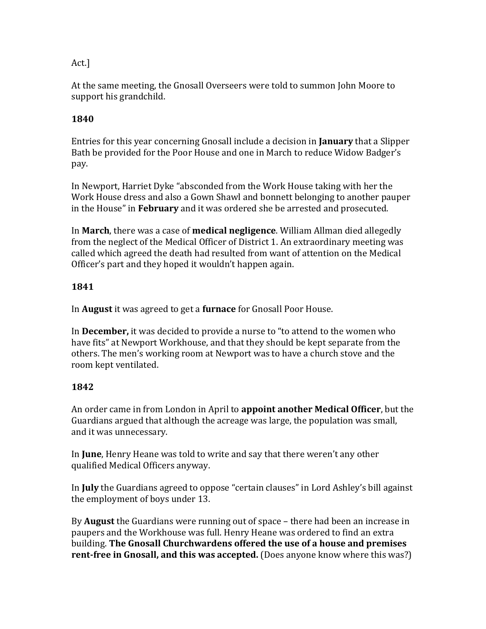# Act.]

At the same meeting, the Gnosall Overseers were told to summon John Moore to support his grandchild.

# **1840**

Entries for this year concerning Gnosall include a decision in **January** that a Slipper Bath be provided for the Poor House and one in March to reduce Widow Badger's pay.

In Newport, Harriet Dyke "absconded from the Work House taking with her the Work House dress and also a Gown Shawl and bonnett belonging to another pauper in the House" in **February** and it was ordered she be arrested and prosecuted.

In **March**, there was a case of **medical negligence**. William Allman died allegedly from the neglect of the Medical Officer of District 1. An extraordinary meeting was called which agreed the death had resulted from want of attention on the Medical Officer's part and they hoped it wouldn't happen again.

# **1841**

In **August** it was agreed to get a **furnace** for Gnosall Poor House.

In **December,** it was decided to provide a nurse to "to attend to the women who have fits" at Newport Workhouse, and that they should be kept separate from the others. The men's working room at Newport was to have a church stove and the room kept ventilated.

# **1842**

An order came in from London in April to **appoint another Medical Officer**, but the Guardians argued that although the acreage was large, the population was small, and it was unnecessary.

In **June**, Henry Heane was told to write and say that there weren't any other qualified Medical Officers anyway.

In **July** the Guardians agreed to oppose "certain clauses" in Lord Ashley's bill against the employment of boys under 13.

By **August** the Guardians were running out of space – there had been an increase in paupers and the Workhouse was full. Henry Heane was ordered to find an extra building. **The Gnosall Churchwardens offered the use of a house and premises rent-free in Gnosall, and this was accepted.** (Does anyone know where this was?)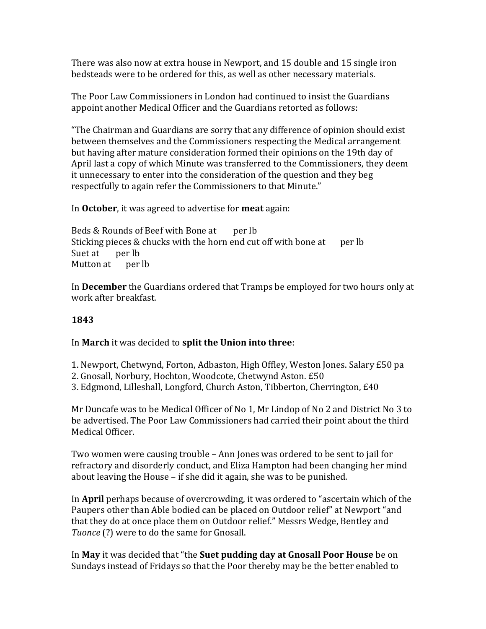There was also now at extra house in Newport, and 15 double and 15 single iron bedsteads were to be ordered for this, as well as other necessary materials.

The Poor Law Commissioners in London had continued to insist the Guardians appoint another Medical Officer and the Guardians retorted as follows:

"The Chairman and Guardians are sorry that any difference of opinion should exist between themselves and the Commissioners respecting the Medical arrangement but having after mature consideration formed their opinions on the 19th day of April last a copy of which Minute was transferred to the Commissioners, they deem it unnecessary to enter into the consideration of the question and they beg respectfully to again refer the Commissioners to that Minute."

In **October**, it was agreed to advertise for **meat** again:

Beds & Rounds of Beef with Bone at per lb Sticking pieces  $&$  chucks with the horn end cut off with bone at per lb Suet at per lb Mutton at per lb

In **December** the Guardians ordered that Tramps be employed for two hours only at work after breakfast.

## **1843**

### In **March** it was decided to **split the Union into three**:

- 1. Newport, Chetwynd, Forton, Adbaston, High Offley, Weston Jones. Salary £50 pa
- 2. Gnosall, Norbury, Hochton, Woodcote, Chetwynd Aston. £50
- 3. Edgmond, Lilleshall, Longford, Church Aston, Tibberton, Cherrington, £40

Mr Duncafe was to be Medical Officer of No 1, Mr Lindop of No 2 and District No 3 to be advertised. The Poor Law Commissioners had carried their point about the third Medical Officer.

Two women were causing trouble – Ann Jones was ordered to be sent to jail for refractory and disorderly conduct, and Eliza Hampton had been changing her mind about leaving the House – if she did it again, she was to be punished.

In **April** perhaps because of overcrowding, it was ordered to "ascertain which of the Paupers other than Able bodied can be placed on Outdoor relief" at Newport "and that they do at once place them on Outdoor relief." Messrs Wedge, Bentley and *Tuonce* (?) were to do the same for Gnosall.

In **May** it was decided that "the **Suet pudding day at Gnosall Poor House** be on Sundays instead of Fridays so that the Poor thereby may be the better enabled to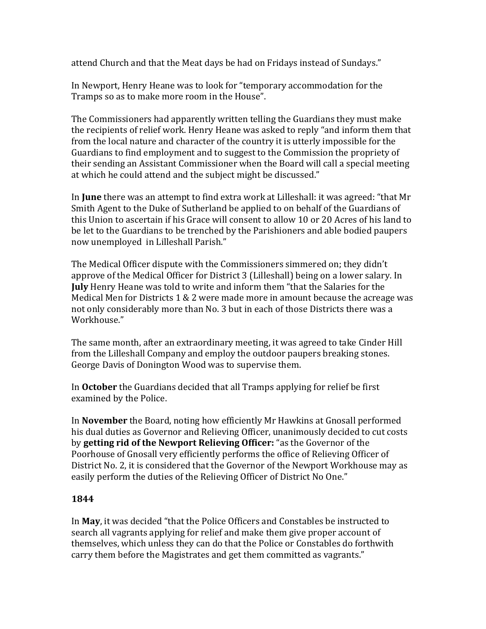attend Church and that the Meat days be had on Fridays instead of Sundays."

In Newport, Henry Heane was to look for "temporary accommodation for the Tramps so as to make more room in the House".

The Commissioners had apparently written telling the Guardians they must make the recipients of relief work. Henry Heane was asked to reply "and inform them that from the local nature and character of the country it is utterly impossible for the Guardians to find employment and to suggest to the Commission the propriety of their sending an Assistant Commissioner when the Board will call a special meeting at which he could attend and the subject might be discussed."

In **June** there was an attempt to find extra work at Lilleshall: it was agreed: "that Mr Smith Agent to the Duke of Sutherland be applied to on behalf of the Guardians of this Union to ascertain if his Grace will consent to allow 10 or 20 Acres of his land to be let to the Guardians to be trenched by the Parishioners and able bodied paupers now unemployed in Lilleshall Parish."

The Medical Officer dispute with the Commissioners simmered on; they didn't approve of the Medical Officer for District 3 (Lilleshall) being on a lower salary. In **July** Henry Heane was told to write and inform them "that the Salaries for the Medical Men for Districts 1 & 2 were made more in amount because the acreage was not only considerably more than No. 3 but in each of those Districts there was a Workhouse."

The same month, after an extraordinary meeting, it was agreed to take Cinder Hill from the Lilleshall Company and employ the outdoor paupers breaking stones. George Davis of Donington Wood was to supervise them.

In **October** the Guardians decided that all Tramps applying for relief be first examined by the Police.

In **November** the Board, noting how efficiently Mr Hawkins at Gnosall performed his dual duties as Governor and Relieving Officer, unanimously decided to cut costs by **getting rid of the Newport Relieving Officer:** "as the Governor of the Poorhouse of Gnosall very efficiently performs the office of Relieving Officer of District No. 2, it is considered that the Governor of the Newport Workhouse may as easily perform the duties of the Relieving Officer of District No One."

# **1844**

In **May**, it was decided "that the Police Officers and Constables be instructed to search all vagrants applying for relief and make them give proper account of themselves, which unless they can do that the Police or Constables do forthwith carry them before the Magistrates and get them committed as vagrants."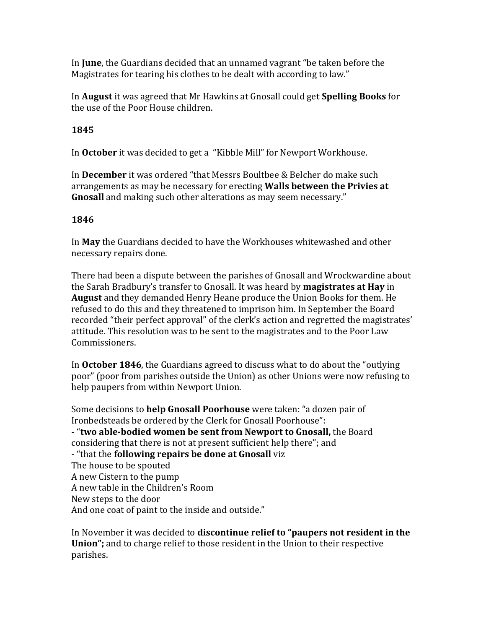In **June**, the Guardians decided that an unnamed vagrant "be taken before the Magistrates for tearing his clothes to be dealt with according to law."

In **August** it was agreed that Mr Hawkins at Gnosall could get **Spelling Books** for the use of the Poor House children.

### **1845**

In **October** it was decided to get a "Kibble Mill" for Newport Workhouse.

In **December** it was ordered "that Messrs Boultbee & Belcher do make such arrangements as may be necessary for erecting **Walls between the Privies at Gnosall** and making such other alterations as may seem necessary."

#### **1846**

In **May** the Guardians decided to have the Workhouses whitewashed and other necessary repairs done.

There had been a dispute between the parishes of Gnosall and Wrockwardine about the Sarah Bradbury's transfer to Gnosall. It was heard by **magistrates at Hay** in **August** and they demanded Henry Heane produce the Union Books for them. He refused to do this and they threatened to imprison him. In September the Board recorded "their perfect approval" of the clerk's action and regretted the magistrates' attitude. This resolution was to be sent to the magistrates and to the Poor Law Commissioners.

In **October 1846**, the Guardians agreed to discuss what to do about the "outlying poor" (poor from parishes outside the Union) as other Unions were now refusing to help paupers from within Newport Union.

Some decisions to **help Gnosall Poorhouse** were taken: "a dozen pair of Ironbedsteads be ordered by the Clerk for Gnosall Poorhouse": - "**two able-bodied women be sent from Newport to Gnosall,** the Board considering that there is not at present sufficient help there"; and - "that the **following repairs be done at Gnosall** viz The house to be spouted A new Cistern to the pump A new table in the Children's Room New steps to the door And one coat of paint to the inside and outside."

In November it was decided to **discontinue relief to "paupers not resident in the Union";** and to charge relief to those resident in the Union to their respective parishes.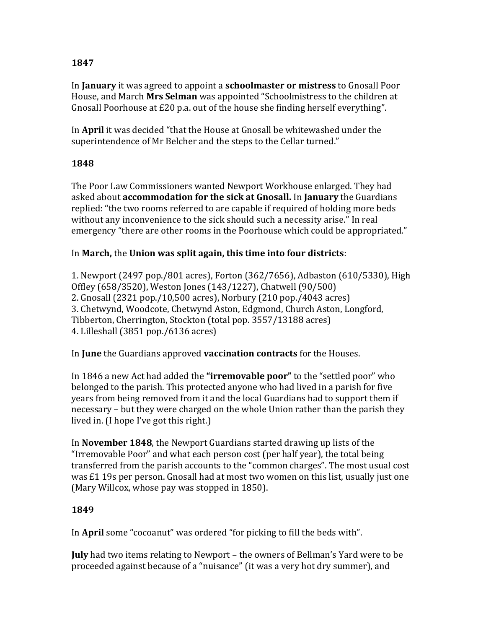## **1847**

In **January** it was agreed to appoint a **schoolmaster or mistress** to Gnosall Poor House, and March **Mrs Selman** was appointed "Schoolmistress to the children at Gnosall Poorhouse at £20 p.a. out of the house she finding herself everything".

In **April** it was decided "that the House at Gnosall be whitewashed under the superintendence of Mr Belcher and the steps to the Cellar turned."

### **1848**

The Poor Law Commissioners wanted Newport Workhouse enlarged. They had asked about **accommodation for the sick at Gnosall.** In **January** the Guardians replied: "the two rooms referred to are capable if required of holding more beds without any inconvenience to the sick should such a necessity arise." In real emergency "there are other rooms in the Poorhouse which could be appropriated."

### In **March,** the **Union was split again, this time into four districts**:

1. Newport (2497 pop./801 acres), Forton (362/7656), Adbaston (610/5330), High Offley (658/3520), Weston Jones (143/1227), Chatwell (90/500) 2. Gnosall (2321 pop./10,500 acres), Norbury (210 pop./4043 acres) 3. Chetwynd, Woodcote, Chetwynd Aston, Edgmond, Church Aston, Longford, Tibberton, Cherrington, Stockton (total pop. 3557/13188 acres) 4. Lilleshall (3851 pop./6136 acres)

In **June** the Guardians approved **vaccination contracts** for the Houses.

In 1846 a new Act had added the **"irremovable poor"** to the "settled poor" who belonged to the parish. This protected anyone who had lived in a parish for five years from being removed from it and the local Guardians had to support them if necessary – but they were charged on the whole Union rather than the parish they lived in. (I hope I've got this right.)

In **November 1848**, the Newport Guardians started drawing up lists of the "Irremovable Poor" and what each person cost (per half year), the total being transferred from the parish accounts to the "common charges". The most usual cost was £1 19s per person. Gnosall had at most two women on this list, usually just one (Mary Willcox, whose pay was stopped in 1850).

# **1849**

In **April** some "cocoanut" was ordered "for picking to fill the beds with".

**July** had two items relating to Newport – the owners of Bellman's Yard were to be proceeded against because of a "nuisance" (it was a very hot dry summer), and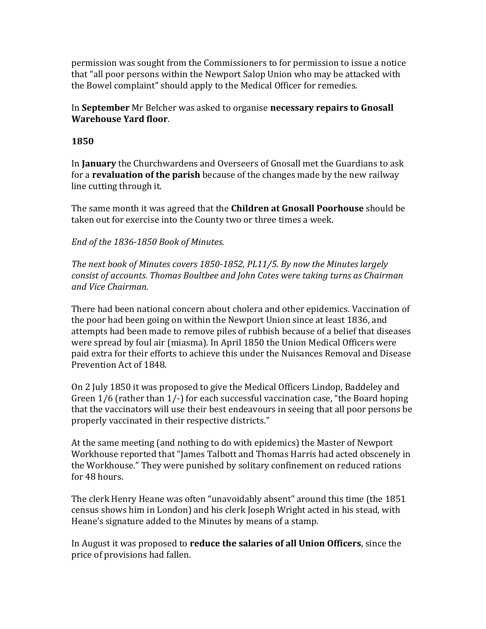permission was sought from the Commissioners to for permission to issue a notice that "all poor persons within the Newport Salop Union who may be attacked with the Bowel complaint" should apply to the Medical Officer for remedies.

In **September** Mr Belcher was asked to organise **necessary repairs to Gnosall Warehouse Yard floor**.

### **1850**

In **January** the Churchwardens and Overseers of Gnosall met the Guardians to ask for a **revaluation of the parish** because of the changes made by the new railway line cutting through it.

The same month it was agreed that the **Children at Gnosall Poorhouse** should be taken out for exercise into the County two or three times a week.

### *End of the 1836-1850 Book of Minutes.*

*The next book of Minutes covers 1850-1852, PL11/5. By now the Minutes largely consist of accounts. Thomas Boultbee and John Cotes were taking turns as Chairman and Vice Chairman.*

There had been national concern about cholera and other epidemics. Vaccination of the poor had been going on within the Newport Union since at least 1836, and attempts had been made to remove piles of rubbish because of a belief that diseases were spread by foul air (miasma). In April 1850 the Union Medical Officers were paid extra for their efforts to achieve this under the Nuisances Removal and Disease Prevention Act of 1848.

On 2 July 1850 it was proposed to give the Medical Officers Lindop, Baddeley and Green 1/6 (rather than 1/-) for each successful vaccination case, "the Board hoping that the vaccinators will use their best endeavours in seeing that all poor persons be properly vaccinated in their respective districts."

At the same meeting (and nothing to do with epidemics) the Master of Newport Workhouse reported that "James Talbott and Thomas Harris had acted obscenely in the Workhouse." They were punished by solitary confinement on reduced rations for 48 hours.

The clerk Henry Heane was often "unavoidably absent" around this time (the 1851 census shows him in London) and his clerk Joseph Wright acted in his stead, with Heane's signature added to the Minutes by means of a stamp.

In August it was proposed to **reduce the salaries of all Union Officers**, since the price of provisions had fallen.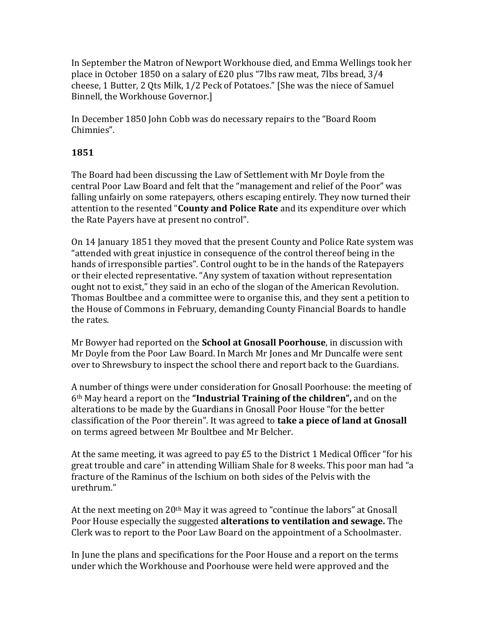In September the Matron of Newport Workhouse died, and Emma Wellings took her place in October 1850 on a salary of £20 plus "7lbs raw meat, 7lbs bread, 3/4 cheese, 1 Butter, 2 Qts Milk, 1/2 Peck of Potatoes." [She was the niece of Samuel Binnell, the Workhouse Governor.]

In December 1850 John Cobb was do necessary repairs to the "Board Room Chimnies".

# **1851**

The Board had been discussing the Law of Settlement with Mr Doyle from the central Poor Law Board and felt that the "management and relief of the Poor" was falling unfairly on some ratepayers, others escaping entirely. They now turned their attention to the resented "**County and Police Rate** and its expenditure over which the Rate Payers have at present no control".

On 14 January 1851 they moved that the present County and Police Rate system was "attended with great injustice in consequence of the control thereof being in the hands of irresponsible parties". Control ought to be in the hands of the Ratepayers or their elected representative. "Any system of taxation without representation ought not to exist," they said in an echo of the slogan of the American Revolution. Thomas Boultbee and a committee were to organise this, and they sent a petition to the House of Commons in February, demanding County Financial Boards to handle the rates.

Mr Bowyer had reported on the **School at Gnosall Poorhouse**, in discussion with Mr Doyle from the Poor Law Board. In March Mr Jones and Mr Duncalfe were sent over to Shrewsbury to inspect the school there and report back to the Guardians.

A number of things were under consideration for Gnosall Poorhouse: the meeting of 6th May heard a report on the **"Industrial Training of the children",** and on the alterations to be made by the Guardians in Gnosall Poor House "for the better classification of the Poor therein". It was agreed to **take a piece of land at Gnosall** on terms agreed between Mr Boultbee and Mr Belcher.

At the same meeting, it was agreed to pay £5 to the District 1 Medical Officer "for his great trouble and care" in attending William Shale for 8 weeks. This poor man had "a fracture of the Raminus of the Ischium on both sides of the Pelvis with the urethrum."

At the next meeting on 20<sup>th</sup> May it was agreed to "continue the labors" at Gnosall Poor House especially the suggested **alterations to ventilation and sewage.** The Clerk was to report to the Poor Law Board on the appointment of a Schoolmaster.

In June the plans and specifications for the Poor House and a report on the terms under which the Workhouse and Poorhouse were held were approved and the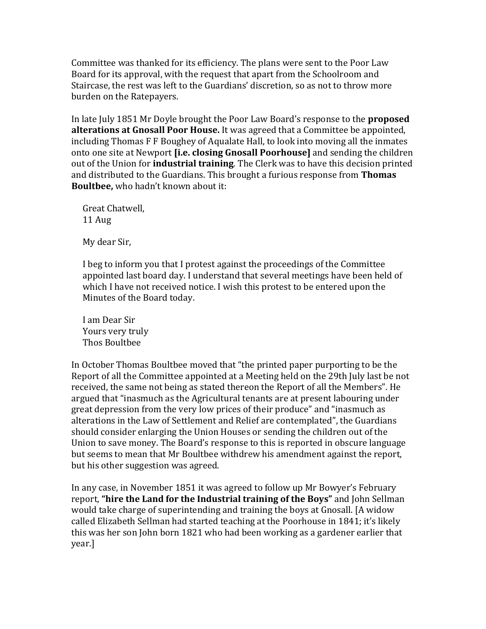Committee was thanked for its efficiency. The plans were sent to the Poor Law Board for its approval, with the request that apart from the Schoolroom and Staircase, the rest was left to the Guardians' discretion, so as not to throw more burden on the Ratepayers.

In late July 1851 Mr Doyle brought the Poor Law Board's response to the **proposed alterations at Gnosall Poor House.** It was agreed that a Committee be appointed, including Thomas F F Boughey of Aqualate Hall, to look into moving all the inmates onto one site at Newport **[i.e. closing Gnosall Poorhouse]** and sending the children out of the Union for **industrial training**. The Clerk was to have this decision printed and distributed to the Guardians. This brought a furious response from **Thomas Boultbee,** who hadn't known about it:

Great Chatwell, 11 Aug

My dear Sir,

I beg to inform you that I protest against the proceedings of the Committee appointed last board day. I understand that several meetings have been held of which I have not received notice. I wish this protest to be entered upon the Minutes of the Board today.

I am Dear Sir Yours very truly Thos Boultbee

In October Thomas Boultbee moved that "the printed paper purporting to be the Report of all the Committee appointed at a Meeting held on the 29th July last be not received, the same not being as stated thereon the Report of all the Members". He argued that "inasmuch as the Agricultural tenants are at present labouring under great depression from the very low prices of their produce" and "inasmuch as alterations in the Law of Settlement and Relief are contemplated", the Guardians should consider enlarging the Union Houses or sending the children out of the Union to save money. The Board's response to this is reported in obscure language but seems to mean that Mr Boultbee withdrew his amendment against the report, but his other suggestion was agreed.

In any case, in November 1851 it was agreed to follow up Mr Bowyer's February report, **"hire the Land for the Industrial training of the Boys"** and John Sellman would take charge of superintending and training the boys at Gnosall. [A widow called Elizabeth Sellman had started teaching at the Poorhouse in 1841; it's likely this was her son John born 1821 who had been working as a gardener earlier that year.]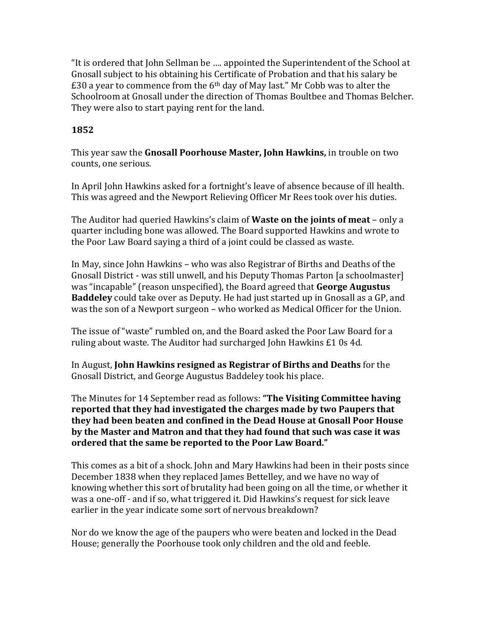"It is ordered that John Sellman be …. appointed the Superintendent of the School at Gnosall subject to his obtaining his Certificate of Probation and that his salary be  $£30$  a year to commence from the 6<sup>th</sup> day of May last." Mr Cobb was to alter the Schoolroom at Gnosall under the direction of Thomas Boultbee and Thomas Belcher. They were also to start paying rent for the land.

## **1852**

This year saw the **Gnosall Poorhouse Master, John Hawkins,** in trouble on two counts, one serious.

In April John Hawkins asked for a fortnight's leave of absence because of ill health. This was agreed and the Newport Relieving Officer Mr Rees took over his duties.

The Auditor had queried Hawkins's claim of **Waste on the joints of meat** – only a quarter including bone was allowed. The Board supported Hawkins and wrote to the Poor Law Board saying a third of a joint could be classed as waste.

In May, since John Hawkins – who was also Registrar of Births and Deaths of the Gnosall District - was still unwell, and his Deputy Thomas Parton [a schoolmaster] was "incapable" (reason unspecified), the Board agreed that **George Augustus Baddeley** could take over as Deputy. He had just started up in Gnosall as a GP, and was the son of a Newport surgeon – who worked as Medical Officer for the Union.

The issue of "waste" rumbled on, and the Board asked the Poor Law Board for a ruling about waste. The Auditor had surcharged John Hawkins £1 0s 4d.

In August, **John Hawkins resigned as Registrar of Births and Deaths** for the Gnosall District, and George Augustus Baddeley took his place.

The Minutes for 14 September read as follows: **"The Visiting Committee having reported that they had investigated the charges made by two Paupers that they had been beaten and confined in the Dead House at Gnosall Poor House by the Master and Matron and that they had found that such was case it was ordered that the same be reported to the Poor Law Board."**

This comes as a bit of a shock. John and Mary Hawkins had been in their posts since December 1838 when they replaced James Bettelley, and we have no way of knowing whether this sort of brutality had been going on all the time, or whether it was a one-off - and if so, what triggered it. Did Hawkins's request for sick leave earlier in the year indicate some sort of nervous breakdown?

Nor do we know the age of the paupers who were beaten and locked in the Dead House; generally the Poorhouse took only children and the old and feeble.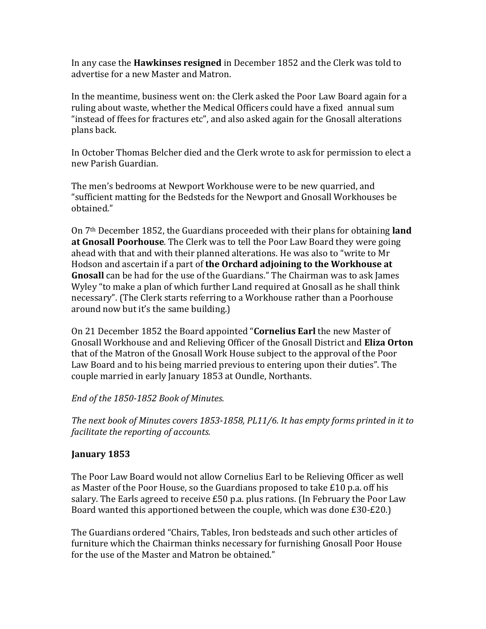In any case the **Hawkinses resigned** in December 1852 and the Clerk was told to advertise for a new Master and Matron.

In the meantime, business went on: the Clerk asked the Poor Law Board again for a ruling about waste, whether the Medical Officers could have a fixed annual sum "instead of ffees for fractures etc", and also asked again for the Gnosall alterations plans back.

In October Thomas Belcher died and the Clerk wrote to ask for permission to elect a new Parish Guardian.

The men's bedrooms at Newport Workhouse were to be new quarried, and "sufficient matting for the Bedsteds for the Newport and Gnosall Workhouses be obtained."

On 7th December 1852, the Guardians proceeded with their plans for obtaining **land at Gnosall Poorhouse**. The Clerk was to tell the Poor Law Board they were going ahead with that and with their planned alterations. He was also to "write to Mr Hodson and ascertain if a part of **the Orchard adjoining to the Workhouse at Gnosall** can be had for the use of the Guardians." The Chairman was to ask James Wyley "to make a plan of which further Land required at Gnosall as he shall think necessary". (The Clerk starts referring to a Workhouse rather than a Poorhouse around now but it's the same building.)

On 21 December 1852 the Board appointed "**Cornelius Earl** the new Master of Gnosall Workhouse and and Relieving Officer of the Gnosall District and **Eliza Orton** that of the Matron of the Gnosall Work House subject to the approval of the Poor Law Board and to his being married previous to entering upon their duties". The couple married in early January 1853 at Oundle, Northants.

### *End of the 1850-1852 Book of Minutes.*

*The next book of Minutes covers 1853-1858, PL11/6. It has empty forms printed in it to facilitate the reporting of accounts.*

# **January 1853**

The Poor Law Board would not allow Cornelius Earl to be Relieving Officer as well as Master of the Poor House, so the Guardians proposed to take £10 p.a. off his salary. The Earls agreed to receive £50 p.a. plus rations. (In February the Poor Law Board wanted this apportioned between the couple, which was done £30-£20.)

The Guardians ordered "Chairs, Tables, Iron bedsteads and such other articles of furniture which the Chairman thinks necessary for furnishing Gnosall Poor House for the use of the Master and Matron be obtained."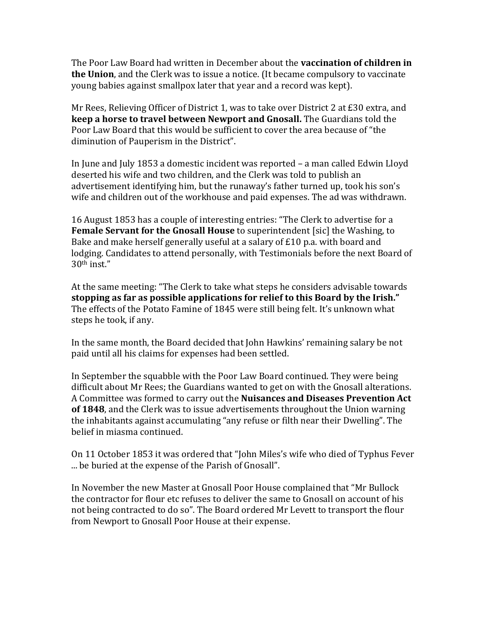The Poor Law Board had written in December about the **vaccination of children in the Union**, and the Clerk was to issue a notice. (It became compulsory to vaccinate young babies against smallpox later that year and a record was kept).

Mr Rees, Relieving Officer of District 1, was to take over District 2 at £30 extra, and **keep a horse to travel between Newport and Gnosall.** The Guardians told the Poor Law Board that this would be sufficient to cover the area because of "the diminution of Pauperism in the District".

In June and July 1853 a domestic incident was reported – a man called Edwin Lloyd deserted his wife and two children, and the Clerk was told to publish an advertisement identifying him, but the runaway's father turned up, took his son's wife and children out of the workhouse and paid expenses. The ad was withdrawn.

16 August 1853 has a couple of interesting entries: "The Clerk to advertise for a **Female Servant for the Gnosall House** to superintendent [sic] the Washing, to Bake and make herself generally useful at a salary of £10 p.a. with board and lodging. Candidates to attend personally, with Testimonials before the next Board of 30th inst."

At the same meeting: "The Clerk to take what steps he considers advisable towards **stopping as far as possible applications for relief to this Board by the Irish."** The effects of the Potato Famine of 1845 were still being felt. It's unknown what steps he took, if any.

In the same month, the Board decided that John Hawkins' remaining salary be not paid until all his claims for expenses had been settled.

In September the squabble with the Poor Law Board continued. They were being difficult about Mr Rees; the Guardians wanted to get on with the Gnosall alterations. A Committee was formed to carry out the **Nuisances and Diseases Prevention Act of 1848**, and the Clerk was to issue advertisements throughout the Union warning the inhabitants against accumulating "any refuse or filth near their Dwelling". The belief in miasma continued.

On 11 October 1853 it was ordered that "John Miles's wife who died of Typhus Fever ... be buried at the expense of the Parish of Gnosall".

In November the new Master at Gnosall Poor House complained that "Mr Bullock the contractor for flour etc refuses to deliver the same to Gnosall on account of his not being contracted to do so". The Board ordered Mr Levett to transport the flour from Newport to Gnosall Poor House at their expense.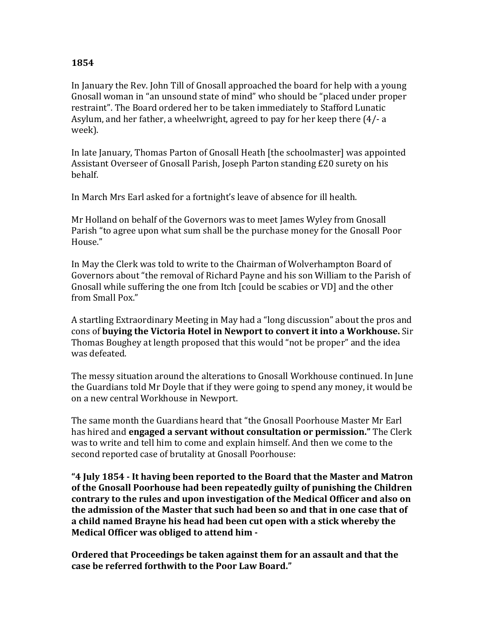### **1854**

In January the Rev. John Till of Gnosall approached the board for help with a young Gnosall woman in "an unsound state of mind" who should be "placed under proper restraint". The Board ordered her to be taken immediately to Stafford Lunatic Asylum, and her father, a wheelwright, agreed to pay for her keep there (4/- a week).

In late January, Thomas Parton of Gnosall Heath [the schoolmaster] was appointed Assistant Overseer of Gnosall Parish, Joseph Parton standing £20 surety on his behalf.

In March Mrs Earl asked for a fortnight's leave of absence for ill health.

Mr Holland on behalf of the Governors was to meet James Wyley from Gnosall Parish "to agree upon what sum shall be the purchase money for the Gnosall Poor House."

In May the Clerk was told to write to the Chairman of Wolverhampton Board of Governors about "the removal of Richard Payne and his son William to the Parish of Gnosall while suffering the one from Itch [could be scabies or VD] and the other from Small Pox."

A startling Extraordinary Meeting in May had a "long discussion" about the pros and cons of **buying the Victoria Hotel in Newport to convert it into a Workhouse.** Sir Thomas Boughey at length proposed that this would "not be proper" and the idea was defeated.

The messy situation around the alterations to Gnosall Workhouse continued. In June the Guardians told Mr Doyle that if they were going to spend any money, it would be on a new central Workhouse in Newport.

The same month the Guardians heard that "the Gnosall Poorhouse Master Mr Earl has hired and **engaged a servant without consultation or permission."** The Clerk was to write and tell him to come and explain himself. And then we come to the second reported case of brutality at Gnosall Poorhouse:

**"4 July 1854 - It having been reported to the Board that the Master and Matron of the Gnosall Poorhouse had been repeatedly guilty of punishing the Children contrary to the rules and upon investigation of the Medical Officer and also on the admission of the Master that such had been so and that in one case that of a child named Brayne his head had been cut open with a stick whereby the Medical Officer was obliged to attend him -**

**Ordered that Proceedings be taken against them for an assault and that the case be referred forthwith to the Poor Law Board."**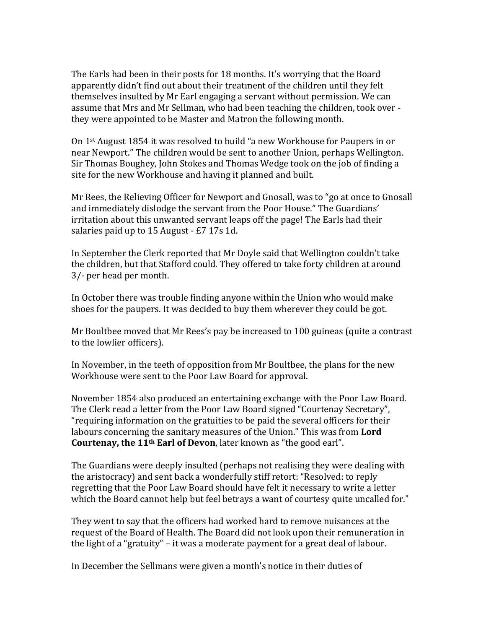The Earls had been in their posts for 18 months. It's worrying that the Board apparently didn't find out about their treatment of the children until they felt themselves insulted by Mr Earl engaging a servant without permission. We can assume that Mrs and Mr Sellman, who had been teaching the children, took over they were appointed to be Master and Matron the following month.

On 1st August 1854 it was resolved to build "a new Workhouse for Paupers in or near Newport." The children would be sent to another Union, perhaps Wellington. Sir Thomas Boughey, John Stokes and Thomas Wedge took on the job of finding a site for the new Workhouse and having it planned and built.

Mr Rees, the Relieving Officer for Newport and Gnosall, was to "go at once to Gnosall and immediately dislodge the servant from the Poor House." The Guardians' irritation about this unwanted servant leaps off the page! The Earls had their salaries paid up to 15 August - £7 17s 1d.

In September the Clerk reported that Mr Doyle said that Wellington couldn't take the children, but that Stafford could. They offered to take forty children at around 3/- per head per month.

In October there was trouble finding anyone within the Union who would make shoes for the paupers. It was decided to buy them wherever they could be got.

Mr Boultbee moved that Mr Rees's pay be increased to 100 guineas (quite a contrast to the lowlier officers).

In November, in the teeth of opposition from Mr Boultbee, the plans for the new Workhouse were sent to the Poor Law Board for approval.

November 1854 also produced an entertaining exchange with the Poor Law Board. The Clerk read a letter from the Poor Law Board signed "Courtenay Secretary", "requiring information on the gratuities to be paid the several officers for their labours concerning the sanitary measures of the Union." This was from **Lord Courtenay, the 11th Earl of Devon**, later known as "the good earl".

The Guardians were deeply insulted (perhaps not realising they were dealing with the aristocracy) and sent back a wonderfully stiff retort: "Resolved: to reply regretting that the Poor Law Board should have felt it necessary to write a letter which the Board cannot help but feel betrays a want of courtesy quite uncalled for."

They went to say that the officers had worked hard to remove nuisances at the request of the Board of Health. The Board did not look upon their remuneration in the light of a "gratuity" – it was a moderate payment for a great deal of labour.

In December the Sellmans were given a month's notice in their duties of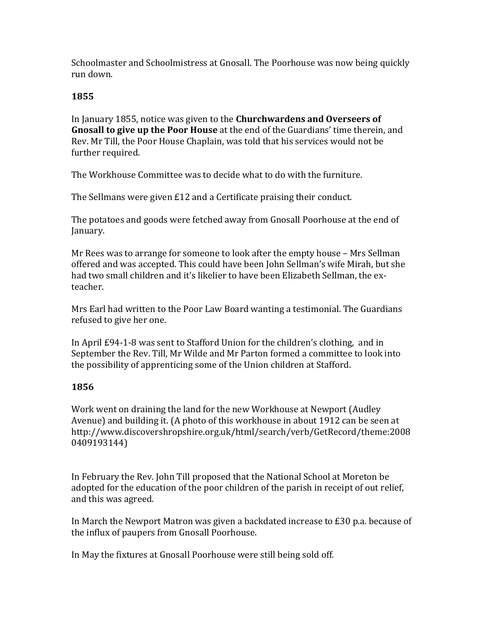Schoolmaster and Schoolmistress at Gnosall. The Poorhouse was now being quickly run down.

### **1855**

In January 1855, notice was given to the **Churchwardens and Overseers of Gnosall to give up the Poor House** at the end of the Guardians' time therein, and Rev. Mr Till, the Poor House Chaplain, was told that his services would not be further required.

The Workhouse Committee was to decide what to do with the furniture.

The Sellmans were given £12 and a Certificate praising their conduct.

The potatoes and goods were fetched away from Gnosall Poorhouse at the end of January.

Mr Rees was to arrange for someone to look after the empty house – Mrs Sellman offered and was accepted. This could have been John Sellman's wife Mirah, but she had two small children and it's likelier to have been Elizabeth Sellman, the exteacher.

Mrs Earl had written to the Poor Law Board wanting a testimonial. The Guardians refused to give her one.

In April £94-1-8 was sent to Stafford Union for the children's clothing, and in September the Rev. Till, Mr Wilde and Mr Parton formed a committee to look into the possibility of apprenticing some of the Union children at Stafford.

# **1856**

Work went on draining the land for the new Workhouse at Newport (Audley Avenue) and building it. (A photo of this workhouse in about 1912 can be seen at http://www.discovershropshire.org.uk/html/search/verb/GetRecord/theme:2008 0409193144)

In February the Rev. John Till proposed that the National School at Moreton be adopted for the education of the poor children of the parish in receipt of out relief, and this was agreed.

In March the Newport Matron was given a backdated increase to £30 p.a. because of the influx of paupers from Gnosall Poorhouse.

In May the fixtures at Gnosall Poorhouse were still being sold off.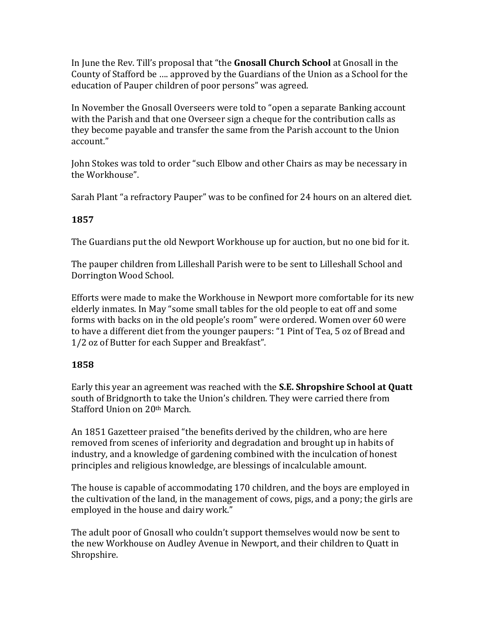In June the Rev. Till's proposal that "the **Gnosall Church School** at Gnosall in the County of Stafford be …. approved by the Guardians of the Union as a School for the education of Pauper children of poor persons" was agreed.

In November the Gnosall Overseers were told to "open a separate Banking account with the Parish and that one Overseer sign a cheque for the contribution calls as they become payable and transfer the same from the Parish account to the Union account."

John Stokes was told to order "such Elbow and other Chairs as may be necessary in the Workhouse".

Sarah Plant "a refractory Pauper" was to be confined for 24 hours on an altered diet.

# **1857**

The Guardians put the old Newport Workhouse up for auction, but no one bid for it.

The pauper children from Lilleshall Parish were to be sent to Lilleshall School and Dorrington Wood School.

Efforts were made to make the Workhouse in Newport more comfortable for its new elderly inmates. In May "some small tables for the old people to eat off and some forms with backs on in the old people's room" were ordered. Women over 60 were to have a different diet from the younger paupers: "1 Pint of Tea, 5 oz of Bread and 1/2 oz of Butter for each Supper and Breakfast".

# **1858**

Early this year an agreement was reached with the **S.E. Shropshire School at Quatt** south of Bridgnorth to take the Union's children. They were carried there from Stafford Union on 20th March.

An 1851 Gazetteer praised "the benefits derived by the children, who are here removed from scenes of inferiority and degradation and brought up in habits of industry, and a knowledge of gardening combined with the inculcation of honest principles and religious knowledge, are blessings of incalculable amount.

The house is capable of accommodating 170 children, and the boys are employed in the cultivation of the land, in the management of cows, pigs, and a pony; the girls are employed in the house and dairy work."

The adult poor of Gnosall who couldn't support themselves would now be sent to the new Workhouse on Audley Avenue in Newport, and their children to Quatt in Shropshire.